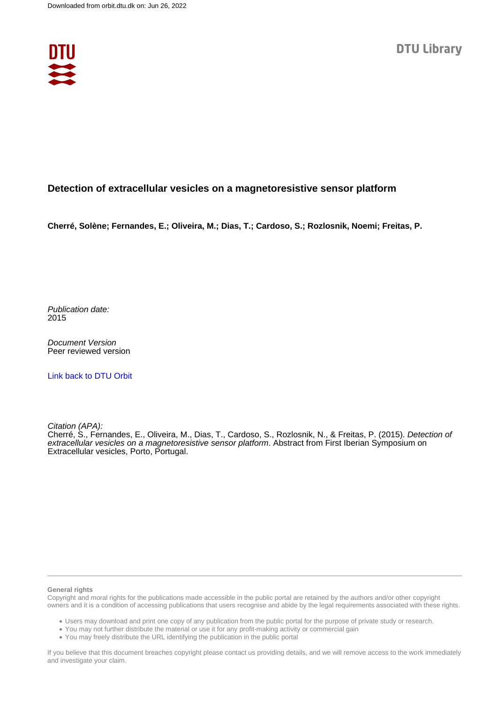

#### **Detection of extracellular vesicles on a magnetoresistive sensor platform**

**Cherré, Solène; Fernandes, E.; Oliveira, M.; Dias, T.; Cardoso, S.; Rozlosnik, Noemi; Freitas, P.**

Publication date: 2015

Document Version Peer reviewed version

[Link back to DTU Orbit](https://orbit.dtu.dk/en/publications/2adea593-94af-4d38-8a35-61d08010b549)

Citation (APA):

Cherré, S., Fernandes, E., Oliveira, M., Dias, T., Cardoso, S., Rozlosnik, N., & Freitas, P. (2015). *Detection of* extracellular vesicles on a magnetoresistive sensor platform. Abstract from First Iberian Symposium on Extracellular vesicles, Porto, Portugal.

#### **General rights**

Copyright and moral rights for the publications made accessible in the public portal are retained by the authors and/or other copyright owners and it is a condition of accessing publications that users recognise and abide by the legal requirements associated with these rights.

Users may download and print one copy of any publication from the public portal for the purpose of private study or research.

- You may not further distribute the material or use it for any profit-making activity or commercial gain
- You may freely distribute the URL identifying the publication in the public portal

If you believe that this document breaches copyright please contact us providing details, and we will remove access to the work immediately and investigate your claim.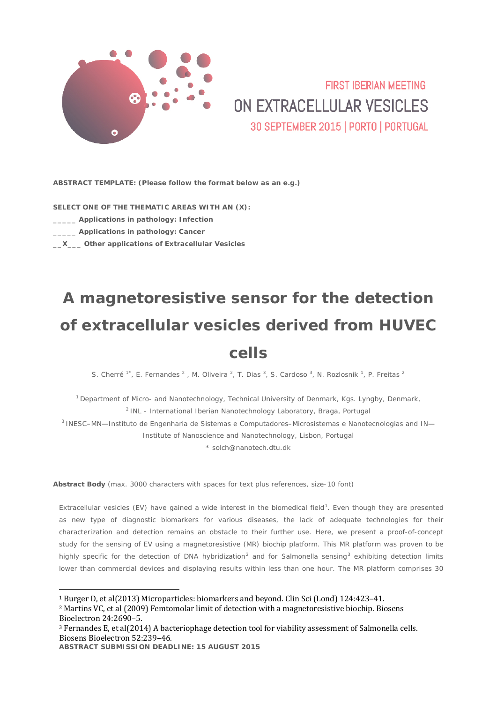

### **FIRST IRFRIAN MEETING** ON EXTRACELLULAR VESICLES 30 SEPTEMBER 2015 | PORTO | PORTUGAL

**ABSTRACT TEMPLATE:** *(Please follow the format below as an e.g.)*

**SELECT ONE OF THE THEMATIC AREAS WITH AN (X):**

- **\_\_\_\_\_ Applications in pathology: Infection**
- **\_\_\_\_\_ Applications in pathology: Cancer**
- **\_\_X\_\_\_ Other applications of Extracellular Vesicles**

# **A magnetoresistive sensor for the detection of extracellular vesicles derived from HUVEC cells**

S. Cherré  $1^*$ , E. Fernandes  $^2$  , M. Oliveira  $^2$ , T. Dias  $^3$ , S. Cardoso  $^3$ , N. Rozlosnik  $^1$ , P. Freitas  $^2$ 

<sup>1</sup> Department of Micro- and Nanotechnology, Technical University of Denmark, Kgs. Lyngby, Denmark, <sup>2</sup> INL - International Iberian Nanotechnology Laboratory, Braga, Portugal 3 INESC–MN—Instituto de Engenharia de Sistemas e Computadores–Microsistemas e Nanotecnologias and IN—

Institute of Nanoscience and Nanotechnology, Lisbon, Portugal

\* solch@nanotech.dtu.dk

**Abstract Body** *(max. 3000 characters with spaces for text plus references, size-10 font)*

Extracellular vesicles (EV) have gained a wide interest in the biomedical field<sup>[1](#page-1-0)</sup>. Even though they are presented as new type of diagnostic biomarkers for various diseases, the lack of adequate technologies for their characterization and detection remains an obstacle to their further use. Here, we present a proof-of-concept study for the sensing of EV using a magnetoresistive (MR) biochip platform. This MR platform was proven to be highly specific for the detection of DNA hybridization<sup>[2](#page-1-1)</sup> and for *Salmonella* sensing<sup>[3](#page-1-2)</sup> exhibiting detection limits lower than commercial devices and displaying results within less than one hour. The MR platform comprises 30

<span id="page-1-0"></span> <sup>1</sup> Burger D, et al(2013) Microparticles: biomarkers and beyond. Clin Sci (Lond) 124:423–41.

<span id="page-1-1"></span><sup>2</sup> Martins VC, et al (2009) Femtomolar limit of detection with a magnetoresistive biochip. Biosens Bioelectron 24:2690–5.

<span id="page-1-2"></span><sup>3</sup> Fernandes E, et al(2014) A bacteriophage detection tool for viability assessment of Salmonella cells. Biosens Bioelectron 52:239–46.

**ABSTRACT SUBMISSION DEADLINE: 15 AUGUST 2015**